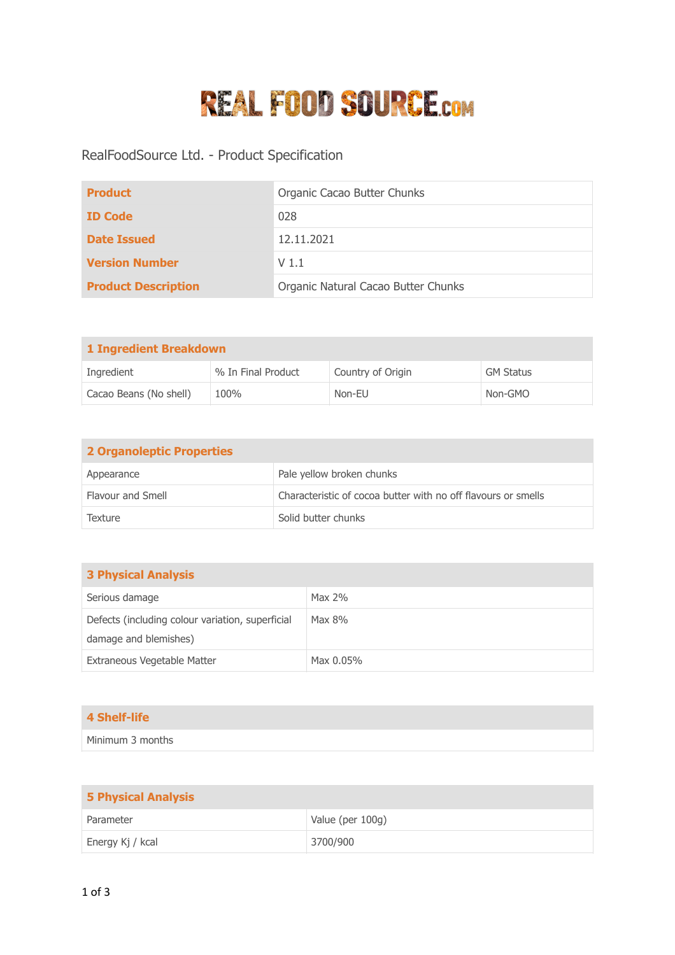## **REAL FOOD SOURCE.COM**

RealFoodSource Ltd. - Product Specification

| <b>Product</b>             | Organic Cacao Butter Chunks         |
|----------------------------|-------------------------------------|
| <b>ID Code</b>             | 028                                 |
| <b>Date Issued</b>         | 12.11.2021                          |
| <b>Version Number</b>      | V <sub>1.1</sub>                    |
| <b>Product Description</b> | Organic Natural Cacao Butter Chunks |

| 1 Ingredient Breakdown |                    |                   |                  |
|------------------------|--------------------|-------------------|------------------|
| Ingredient             | % In Final Product | Country of Origin | <b>GM Status</b> |
| Cacao Beans (No shell) | 100%               | Non-EU            | Non-GMO          |

| <b>2 Organoleptic Properties</b> |                                                               |
|----------------------------------|---------------------------------------------------------------|
| Appearance                       | Pale yellow broken chunks                                     |
| Flavour and Smell                | Characteristic of cocoa butter with no off flavours or smells |
| Texture                          | Solid butter chunks                                           |

| <b>3 Physical Analysis</b>                                                |           |
|---------------------------------------------------------------------------|-----------|
| Serious damage                                                            | Max $2\%$ |
| Defects (including colour variation, superficial<br>damage and blemishes) | Max 8%    |
| Extraneous Vegetable Matter                                               | Max 0.05% |

| <b>4 Shelf-life</b> |
|---------------------|
|---------------------|

Minimum 3 months

| <b>5 Physical Analysis</b> |                  |
|----------------------------|------------------|
| Parameter                  | Value (per 100g) |
| Energy Kj / kcal           | 3700/900         |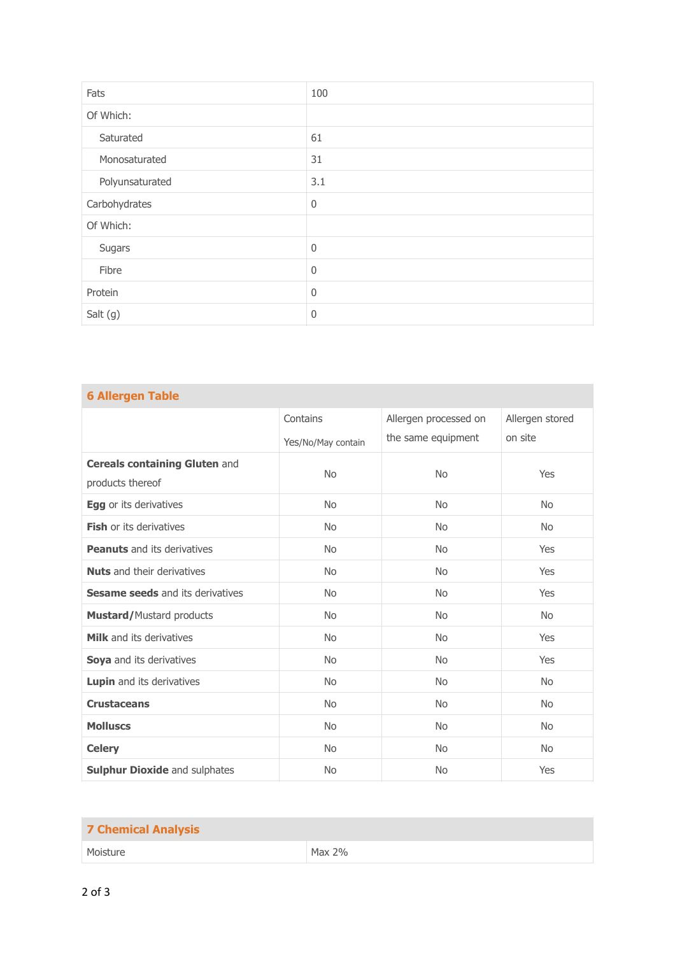| Fats            | 100              |
|-----------------|------------------|
| Of Which:       |                  |
| Saturated       | 61               |
| Monosaturated   | 31               |
| Polyunsaturated | 3.1              |
| Carbohydrates   | $\boldsymbol{0}$ |
| Of Which:       |                  |
| Sugars          | 0                |
| Fibre           | $\boldsymbol{0}$ |
| Protein         | $\mathbf 0$      |
| Salt (g)        | 0                |

| <b>6 Allergen Table</b>                                  |                    |                                             |                            |
|----------------------------------------------------------|--------------------|---------------------------------------------|----------------------------|
|                                                          | Contains           | Allergen processed on<br>the same equipment | Allergen stored<br>on site |
|                                                          | Yes/No/May contain |                                             |                            |
| <b>Cereals containing Gluten and</b><br>products thereof | <b>No</b>          | <b>No</b>                                   | Yes                        |
| <b>Egg</b> or its derivatives                            | <b>No</b>          | <b>No</b>                                   | <b>No</b>                  |
| <b>Fish or its derivatives</b>                           | <b>No</b>          | <b>No</b>                                   | <b>No</b>                  |
| <b>Peanuts</b> and its derivatives                       | <b>No</b>          | <b>No</b>                                   | Yes                        |
| <b>Nuts</b> and their derivatives                        | <b>No</b>          | <b>No</b>                                   | Yes                        |
| <b>Sesame seeds</b> and its derivatives                  | <b>No</b>          | <b>No</b>                                   | Yes                        |
| <b>Mustard/Mustard products</b>                          | <b>No</b>          | <b>No</b>                                   | <b>No</b>                  |
| <b>Milk</b> and its derivatives                          | <b>No</b>          | <b>No</b>                                   | Yes                        |
| Soya and its derivatives                                 | <b>No</b>          | <b>No</b>                                   | Yes                        |
| Lupin and its derivatives                                | <b>No</b>          | <b>No</b>                                   | <b>No</b>                  |
| <b>Crustaceans</b>                                       | <b>No</b>          | <b>No</b>                                   | <b>No</b>                  |
| <b>Molluscs</b>                                          | <b>No</b>          | <b>No</b>                                   | <b>No</b>                  |
| <b>Celery</b>                                            | <b>No</b>          | <b>No</b>                                   | <b>No</b>                  |
| <b>Sulphur Dioxide and sulphates</b>                     | <b>No</b>          | <b>No</b>                                   | Yes                        |

| <b>7 Chemical Analysis</b> |        |
|----------------------------|--------|
| Moisture                   | Max 2% |